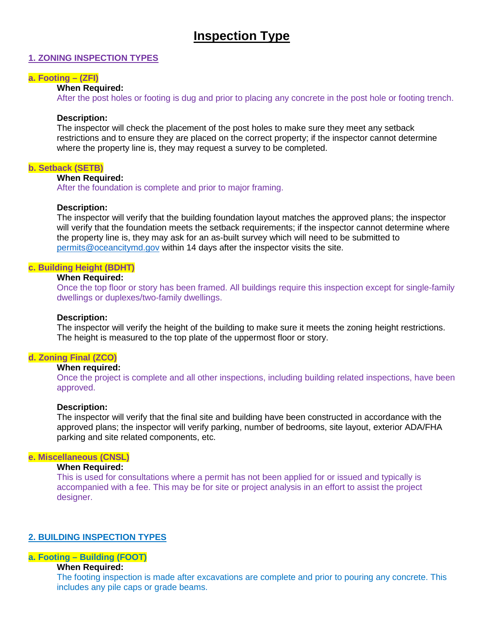# **Inspection Type**

## **1. ZONING INSPECTION TYPES**

## **a. Footing – (ZFI)**

#### **When Required:**

After the post holes or footing is dug and prior to placing any concrete in the post hole or footing trench.

### **Description:**

The inspector will check the placement of the post holes to make sure they meet any setback restrictions and to ensure they are placed on the correct property; if the inspector cannot determine where the property line is, they may request a survey to be completed.

### **b. Setback (SETB)**

#### **When Required:**

After the foundation is complete and prior to major framing.

## **Description:**

The inspector will verify that the building foundation layout matches the approved plans; the inspector will verify that the foundation meets the setback requirements; if the inspector cannot determine where the property line is, they may ask for an as-built survey which will need to be submitted to [permits@oceancitymd.gov](mailto:permits@oceancitymd.gov) within 14 days after the inspector visits the site.

### **c. Building Height (BDHT)**

## **When Required:**

Once the top floor or story has been framed. All buildings require this inspection except for single-family dwellings or duplexes/two-family dwellings.

## **Description:**

The inspector will verify the height of the building to make sure it meets the zoning height restrictions. The height is measured to the top plate of the uppermost floor or story.

## **d. Zoning Final (ZCO)**

## **When required:**

Once the project is complete and all other inspections, including building related inspections, have been approved.

#### **Description:**

The inspector will verify that the final site and building have been constructed in accordance with the approved plans; the inspector will verify parking, number of bedrooms, site layout, exterior ADA/FHA parking and site related components, etc.

## **e. Miscellaneous (CNSL)**

## **When Required:**

This is used for consultations where a permit has not been applied for or issued and typically is accompanied with a fee. This may be for site or project analysis in an effort to assist the project designer.

## **2. BUILDING INSPECTION TYPES**

## **a. Footing – Building (FOOT)**

## **When Required:**

The footing inspection is made after excavations are complete and prior to pouring any concrete. This includes any pile caps or grade beams.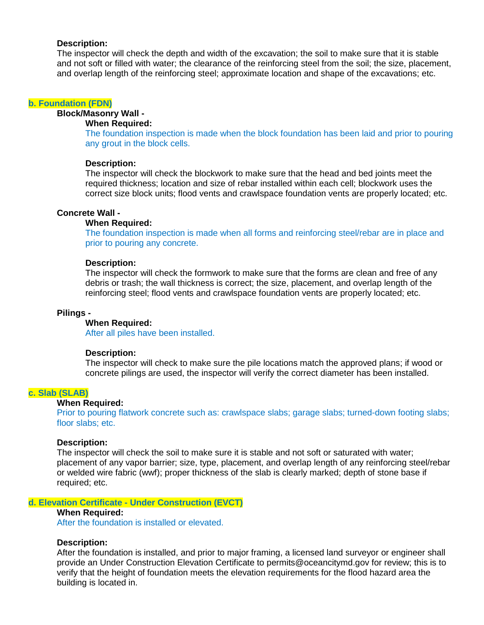## **Description:**

The inspector will check the depth and width of the excavation; the soil to make sure that it is stable and not soft or filled with water; the clearance of the reinforcing steel from the soil; the size, placement, and overlap length of the reinforcing steel; approximate location and shape of the excavations; etc.

#### **b. Foundation (FDN)**

**Block/Masonry Wall -**

## **When Required:**

The foundation inspection is made when the block foundation has been laid and prior to pouring any grout in the block cells.

#### **Description:**

The inspector will check the blockwork to make sure that the head and bed joints meet the required thickness; location and size of rebar installed within each cell; blockwork uses the correct size block units; flood vents and crawlspace foundation vents are properly located; etc.

#### **Concrete Wall -**

#### **When Required:**

The foundation inspection is made when all forms and reinforcing steel/rebar are in place and prior to pouring any concrete.

### **Description:**

The inspector will check the formwork to make sure that the forms are clean and free of any debris or trash; the wall thickness is correct; the size, placement, and overlap length of the reinforcing steel; flood vents and crawlspace foundation vents are properly located; etc.

#### **Pilings -**

#### **When Required:**

After all piles have been installed.

#### **Description:**

The inspector will check to make sure the pile locations match the approved plans; if wood or concrete pilings are used, the inspector will verify the correct diameter has been installed.

## **c. Slab (SLAB)**

## **When Required:**

Prior to pouring flatwork concrete such as: crawlspace slabs; garage slabs; turned-down footing slabs; floor slabs; etc.

#### **Description:**

The inspector will check the soil to make sure it is stable and not soft or saturated with water; placement of any vapor barrier; size, type, placement, and overlap length of any reinforcing steel/rebar or welded wire fabric (wwf); proper thickness of the slab is clearly marked; depth of stone base if required; etc.

#### **d. Elevation Certificate - Under Construction (EVCT)**

## **When Required:**

After the foundation is installed or elevated.

## **Description:**

After the foundation is installed, and prior to major framing, a licensed land surveyor or engineer shall provide an Under Construction Elevation Certificate to permits@oceancitymd.gov for review; this is to verify that the height of foundation meets the elevation requirements for the flood hazard area the building is located in.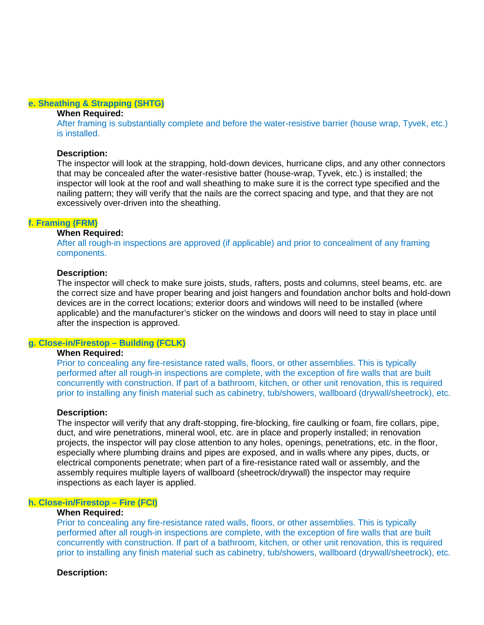#### **e. Sheathing & Strapping (SHTG)**

#### **When Required:**

After framing is substantially complete and before the water-resistive barrier (house wrap, Tyvek, etc.) is installed.

#### **Description:**

The inspector will look at the strapping, hold-down devices, hurricane clips, and any other connectors that may be concealed after the water-resistive batter (house-wrap, Tyvek, etc.) is installed; the inspector will look at the roof and wall sheathing to make sure it is the correct type specified and the nailing pattern; they will verify that the nails are the correct spacing and type, and that they are not excessively over-driven into the sheathing.

#### **f. Framing (FRM)**

#### **When Required:**

After all rough-in inspections are approved (if applicable) and prior to concealment of any framing components.

#### **Description:**

The inspector will check to make sure joists, studs, rafters, posts and columns, steel beams, etc. are the correct size and have proper bearing and joist hangers and foundation anchor bolts and hold-down devices are in the correct locations; exterior doors and windows will need to be installed (where applicable) and the manufacturer's sticker on the windows and doors will need to stay in place until after the inspection is approved.

#### **g. Close-in/Firestop – Building (FCLK)**

## **When Required:**

Prior to concealing any fire-resistance rated walls, floors, or other assemblies. This is typically performed after all rough-in inspections are complete, with the exception of fire walls that are built concurrently with construction. If part of a bathroom, kitchen, or other unit renovation, this is required prior to installing any finish material such as cabinetry, tub/showers, wallboard (drywall/sheetrock), etc.

#### **Description:**

The inspector will verify that any draft-stopping, fire-blocking, fire caulking or foam, fire collars, pipe, duct, and wire penetrations, mineral wool, etc. are in place and properly installed; in renovation projects, the inspector will pay close attention to any holes, openings, penetrations, etc. in the floor, especially where plumbing drains and pipes are exposed, and in walls where any pipes, ducts, or electrical components penetrate; when part of a fire-resistance rated wall or assembly, and the assembly requires multiple layers of wallboard (sheetrock/drywall) the inspector may require inspections as each layer is applied.

#### **h. Close-in/Firestop – Fire (FCI)**

## **When Required:**

Prior to concealing any fire-resistance rated walls, floors, or other assemblies. This is typically performed after all rough-in inspections are complete, with the exception of fire walls that are built concurrently with construction. If part of a bathroom, kitchen, or other unit renovation, this is required prior to installing any finish material such as cabinetry, tub/showers, wallboard (drywall/sheetrock), etc.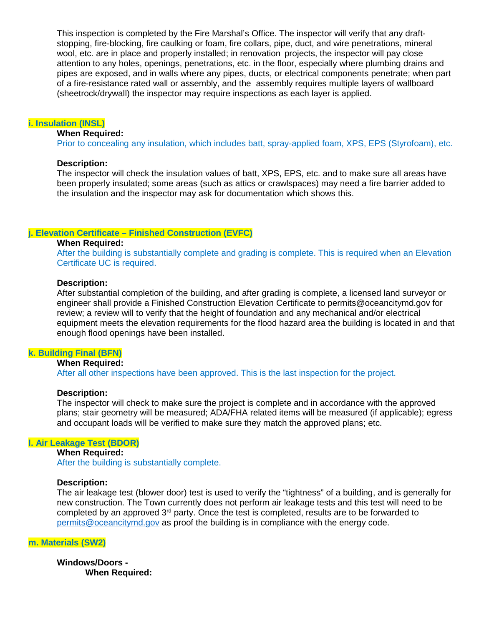This inspection is completed by the Fire Marshal's Office. The inspector will verify that any draftstopping, fire-blocking, fire caulking or foam, fire collars, pipe, duct, and wire penetrations, mineral wool, etc. are in place and properly installed; in renovation projects, the inspector will pay close attention to any holes, openings, penetrations, etc. in the floor, especially where plumbing drains and pipes are exposed, and in walls where any pipes, ducts, or electrical components penetrate; when part of a fire-resistance rated wall or assembly, and the assembly requires multiple layers of wallboard (sheetrock/drywall) the inspector may require inspections as each layer is applied.

#### **i. Insulation (INSL)**

#### **When Required:**

Prior to concealing any insulation, which includes batt, spray-applied foam, XPS, EPS (Styrofoam), etc.

#### **Description:**

The inspector will check the insulation values of batt, XPS, EPS, etc. and to make sure all areas have been properly insulated; some areas (such as attics or crawlspaces) may need a fire barrier added to the insulation and the inspector may ask for documentation which shows this.

#### **j. Elevation Certificate – Finished Construction (EVFC)**

#### **When Required:**

After the building is substantially complete and grading is complete. This is required when an Elevation Certificate UC is required.

#### **Description:**

After substantial completion of the building, and after grading is complete, a licensed land surveyor or engineer shall provide a Finished Construction Elevation Certificate to permits@oceancitymd.gov for review; a review will to verify that the height of foundation and any mechanical and/or electrical equipment meets the elevation requirements for the flood hazard area the building is located in and that enough flood openings have been installed.

#### **k. Building Final (BFN)**

#### **When Required:**

After all other inspections have been approved. This is the last inspection for the project.

#### **Description:**

The inspector will check to make sure the project is complete and in accordance with the approved plans; stair geometry will be measured; ADA/FHA related items will be measured (if applicable); egress and occupant loads will be verified to make sure they match the approved plans; etc.

## **l. Air Leakage Test (BDOR)**

## **When Required:** After the building is substantially complete.

#### **Description:**

The air leakage test (blower door) test is used to verify the "tightness" of a building, and is generally for new construction. The Town currently does not perform air leakage tests and this test will need to be completed by an approved 3<sup>rd</sup> party. Once the test is completed, results are to be forwarded to [permits@oceancitymd.gov](mailto:permits@oceancitymd.gov) as proof the building is in compliance with the energy code.

## **m. Materials (SW2)**

**Windows/Doors - When Required:**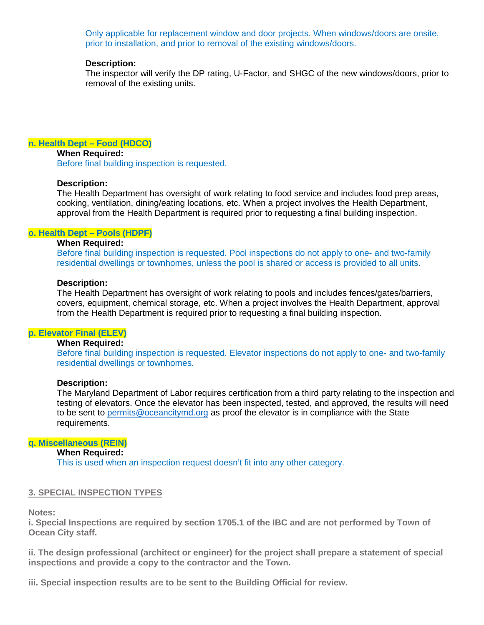Only applicable for replacement window and door projects. When windows/doors are onsite, prior to installation, and prior to removal of the existing windows/doors.

#### **Description:**

The inspector will verify the DP rating, U-Factor, and SHGC of the new windows/doors, prior to removal of the existing units.

## **n. Health Dept – Food (HDCO)**

**When Required:** Before final building inspection is requested.

#### **Description:**

The Health Department has oversight of work relating to food service and includes food prep areas, cooking, ventilation, dining/eating locations, etc. When a project involves the Health Department, approval from the Health Department is required prior to requesting a final building inspection.

#### **o. Health Dept – Pools (HDPF)**

## **When Required:**

Before final building inspection is requested. Pool inspections do not apply to one- and two-family residential dwellings or townhomes, unless the pool is shared or access is provided to all units.

#### **Description:**

The Health Department has oversight of work relating to pools and includes fences/gates/barriers, covers, equipment, chemical storage, etc. When a project involves the Health Department, approval from the Health Department is required prior to requesting a final building inspection.

#### **p. Elevator Final (ELEV)**

## **When Required:**

Before final building inspection is requested. Elevator inspections do not apply to one- and two-family residential dwellings or townhomes.

## **Description:**

The Maryland Department of Labor requires certification from a third party relating to the inspection and testing of elevators. Once the elevator has been inspected, tested, and approved, the results will need to be sent to [permits@oceancitymd.org](mailto:permits@oceancitymd.org) as proof the elevator is in compliance with the State requirements.

#### **q. Miscellaneous (REIN)**

## **When Required:**

This is used when an inspection request doesn't fit into any other category.

#### **3. SPECIAL INSPECTION TYPES**

**Notes:** 

**i. Special Inspections are required by section 1705.1 of the IBC and are not performed by Town of Ocean City staff.** 

**ii. The design professional (architect or engineer) for the project shall prepare a statement of special inspections and provide a copy to the contractor and the Town.** 

**iii. Special inspection results are to be sent to the Building Official for review.**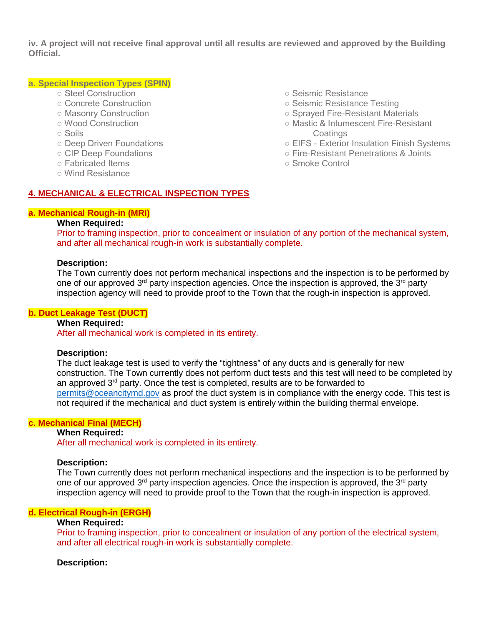**iv. A project will not receive final approval until all results are reviewed and approved by the Building Official.**

## **a. Special Inspection Types (SPIN)**

- Steel Construction
- Concrete Construction
- Masonry Construction
- Wood Construction
- Soils
- Deep Driven Foundations
- CIP Deep Foundations
- Fabricated Items
- Wind Resistance
- Seismic Resistance
- Seismic Resistance Testing
- Sprayed Fire-Resistant Materials
- Mastic & Intumescent Fire-Resistant **Coatings**
- EIFS Exterior Insulation Finish Systems
- Fire-Resistant Penetrations & Joints
- Smoke Control

## **4. MECHANICAL & ELECTRICAL INSPECTION TYPES**

## **a. Mechanical Rough-in (MRI)**

## **When Required:**

Prior to framing inspection, prior to concealment or insulation of any portion of the mechanical system, and after all mechanical rough-in work is substantially complete.

### **Description:**

The Town currently does not perform mechanical inspections and the inspection is to be performed by one of our approved  $3<sup>rd</sup>$  party inspection agencies. Once the inspection is approved, the  $3<sup>rd</sup>$  party inspection agency will need to provide proof to the Town that the rough-in inspection is approved.

#### **b. Duct Leakage Test (DUCT)**

## **When Required:**

After all mechanical work is completed in its entirety.

#### **Description:**

The duct leakage test is used to verify the "tightness" of any ducts and is generally for new construction. The Town currently does not perform duct tests and this test will need to be completed by an approved 3rd party. Once the test is completed, results are to be forwarded to [permits@oceancitymd.gov](mailto:permits@oceancitymd.gov) as proof the duct system is in compliance with the energy code. This test is not required if the mechanical and duct system is entirely within the building thermal envelope.

## **c. Mechanical Final (MECH)**

#### **When Required:**

After all mechanical work is completed in its entirety.

#### **Description:**

The Town currently does not perform mechanical inspections and the inspection is to be performed by one of our approved  $3<sup>rd</sup>$  party inspection agencies. Once the inspection is approved, the  $3<sup>rd</sup>$  party inspection agency will need to provide proof to the Town that the rough-in inspection is approved.

## **d. Electrical Rough-in (ERGH)**

## **When Required:**

Prior to framing inspection, prior to concealment or insulation of any portion of the electrical system, and after all electrical rough-in work is substantially complete.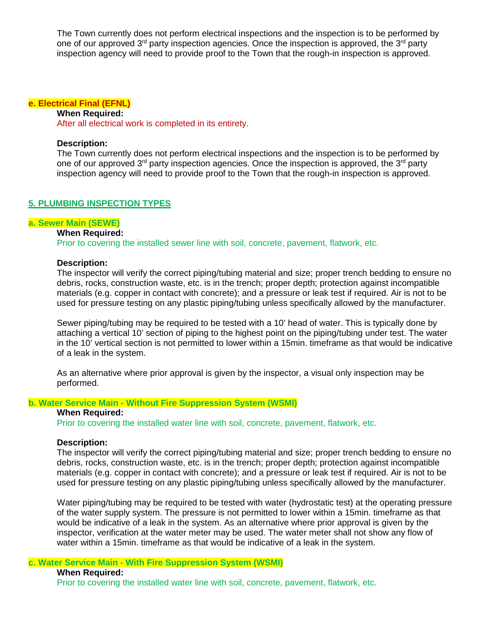The Town currently does not perform electrical inspections and the inspection is to be performed by one of our approved 3<sup>rd</sup> party inspection agencies. Once the inspection is approved, the 3<sup>rd</sup> party inspection agency will need to provide proof to the Town that the rough-in inspection is approved.

#### **e. Electrical Final (EFNL)**

**When Required:**

After all electrical work is completed in its entirety.

## **Description:**

The Town currently does not perform electrical inspections and the inspection is to be performed by one of our approved  $3<sup>rd</sup>$  party inspection agencies. Once the inspection is approved, the  $3<sup>rd</sup>$  party inspection agency will need to provide proof to the Town that the rough-in inspection is approved.

## **5. PLUMBING INSPECTION TYPES**

#### **a. Sewer Main (SEWE)**

## **When Required:**

Prior to covering the installed sewer line with soil, concrete, pavement, flatwork, etc.

## **Description:**

The inspector will verify the correct piping/tubing material and size; proper trench bedding to ensure no debris, rocks, construction waste, etc. is in the trench; proper depth; protection against incompatible materials (e.g. copper in contact with concrete); and a pressure or leak test if required. Air is not to be used for pressure testing on any plastic piping/tubing unless specifically allowed by the manufacturer.

Sewer piping/tubing may be required to be tested with a 10' head of water. This is typically done by attaching a vertical 10' section of piping to the highest point on the piping/tubing under test. The water in the 10' vertical section is not permitted to lower within a 15min. timeframe as that would be indicative of a leak in the system.

As an alternative where prior approval is given by the inspector, a visual only inspection may be performed.

#### **b. Water Service Main - Without Fire Suppression System (WSMI)**

## **When Required:**

Prior to covering the installed water line with soil, concrete, pavement, flatwork, etc.

#### **Description:**

The inspector will verify the correct piping/tubing material and size; proper trench bedding to ensure no debris, rocks, construction waste, etc. is in the trench; proper depth; protection against incompatible materials (e.g. copper in contact with concrete); and a pressure or leak test if required. Air is not to be used for pressure testing on any plastic piping/tubing unless specifically allowed by the manufacturer.

Water piping/tubing may be required to be tested with water (hydrostatic test) at the operating pressure of the water supply system. The pressure is not permitted to lower within a 15min. timeframe as that would be indicative of a leak in the system. As an alternative where prior approval is given by the inspector, verification at the water meter may be used. The water meter shall not show any flow of water within a 15min. timeframe as that would be indicative of a leak in the system.

## **c. Water Service Main - With Fire Suppression System (WSMI)**

**When Required:**

Prior to covering the installed water line with soil, concrete, pavement, flatwork, etc.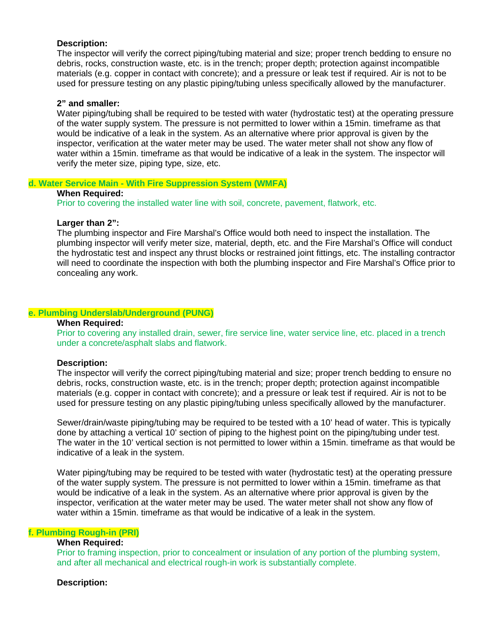## **Description:**

The inspector will verify the correct piping/tubing material and size; proper trench bedding to ensure no debris, rocks, construction waste, etc. is in the trench; proper depth; protection against incompatible materials (e.g. copper in contact with concrete); and a pressure or leak test if required. Air is not to be used for pressure testing on any plastic piping/tubing unless specifically allowed by the manufacturer.

#### **2" and smaller:**

Water piping/tubing shall be required to be tested with water (hydrostatic test) at the operating pressure of the water supply system. The pressure is not permitted to lower within a 15min. timeframe as that would be indicative of a leak in the system. As an alternative where prior approval is given by the inspector, verification at the water meter may be used. The water meter shall not show any flow of water within a 15min. timeframe as that would be indicative of a leak in the system. The inspector will verify the meter size, piping type, size, etc.

## **d. Water Service Main - With Fire Suppression System (WMFA)**

#### **When Required:**

Prior to covering the installed water line with soil, concrete, pavement, flatwork, etc.

## **Larger than 2":**

The plumbing inspector and Fire Marshal's Office would both need to inspect the installation. The plumbing inspector will verify meter size, material, depth, etc. and the Fire Marshal's Office will conduct the hydrostatic test and inspect any thrust blocks or restrained joint fittings, etc. The installing contractor will need to coordinate the inspection with both the plumbing inspector and Fire Marshal's Office prior to concealing any work.

## **e. Plumbing Underslab/Underground (PUNG)**

## **When Required:**

Prior to covering any installed drain, sewer, fire service line, water service line, etc. placed in a trench under a concrete/asphalt slabs and flatwork.

#### **Description:**

The inspector will verify the correct piping/tubing material and size; proper trench bedding to ensure no debris, rocks, construction waste, etc. is in the trench; proper depth; protection against incompatible materials (e.g. copper in contact with concrete); and a pressure or leak test if required. Air is not to be used for pressure testing on any plastic piping/tubing unless specifically allowed by the manufacturer.

Sewer/drain/waste piping/tubing may be required to be tested with a 10' head of water. This is typically done by attaching a vertical 10' section of piping to the highest point on the piping/tubing under test. The water in the 10' vertical section is not permitted to lower within a 15min. timeframe as that would be indicative of a leak in the system.

Water piping/tubing may be required to be tested with water (hydrostatic test) at the operating pressure of the water supply system. The pressure is not permitted to lower within a 15min. timeframe as that would be indicative of a leak in the system. As an alternative where prior approval is given by the inspector, verification at the water meter may be used. The water meter shall not show any flow of water within a 15min. timeframe as that would be indicative of a leak in the system.

## **f. Plumbing Rough-in (PRI)**

## **When Required:**

Prior to framing inspection, prior to concealment or insulation of any portion of the plumbing system, and after all mechanical and electrical rough-in work is substantially complete.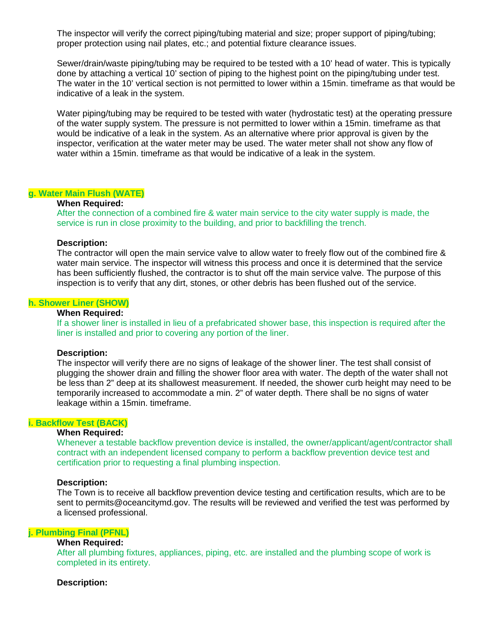The inspector will verify the correct piping/tubing material and size; proper support of piping/tubing; proper protection using nail plates, etc.; and potential fixture clearance issues.

Sewer/drain/waste piping/tubing may be required to be tested with a 10' head of water. This is typically done by attaching a vertical 10' section of piping to the highest point on the piping/tubing under test. The water in the 10' vertical section is not permitted to lower within a 15min. timeframe as that would be indicative of a leak in the system.

Water piping/tubing may be required to be tested with water (hydrostatic test) at the operating pressure of the water supply system. The pressure is not permitted to lower within a 15min. timeframe as that would be indicative of a leak in the system. As an alternative where prior approval is given by the inspector, verification at the water meter may be used. The water meter shall not show any flow of water within a 15min. timeframe as that would be indicative of a leak in the system.

## **g. Water Main Flush (WATE)**

## **When Required:**

After the connection of a combined fire & water main service to the city water supply is made, the service is run in close proximity to the building, and prior to backfilling the trench.

#### **Description:**

The contractor will open the main service valve to allow water to freely flow out of the combined fire & water main service. The inspector will witness this process and once it is determined that the service has been sufficiently flushed, the contractor is to shut off the main service valve. The purpose of this inspection is to verify that any dirt, stones, or other debris has been flushed out of the service.

#### **h. Shower Liner (SHOW)**

#### **When Required:**

If a shower liner is installed in lieu of a prefabricated shower base, this inspection is required after the liner is installed and prior to covering any portion of the liner.

#### **Description:**

The inspector will verify there are no signs of leakage of the shower liner. The test shall consist of plugging the shower drain and filling the shower floor area with water. The depth of the water shall not be less than 2" deep at its shallowest measurement. If needed, the shower curb height may need to be temporarily increased to accommodate a min. 2" of water depth. There shall be no signs of water leakage within a 15min. timeframe.

#### **i. Backflow Test (BACK)**

#### **When Required:**

Whenever a testable backflow prevention device is installed, the owner/applicant/agent/contractor shall contract with an independent licensed company to perform a backflow prevention device test and certification prior to requesting a final plumbing inspection.

#### **Description:**

The Town is to receive all backflow prevention device testing and certification results, which are to be sent to permits@oceancitymd.gov. The results will be reviewed and verified the test was performed by a licensed professional.

#### **j. Plumbing Final (PFNL)**

## **When Required:**

After all plumbing fixtures, appliances, piping, etc. are installed and the plumbing scope of work is completed in its entirety.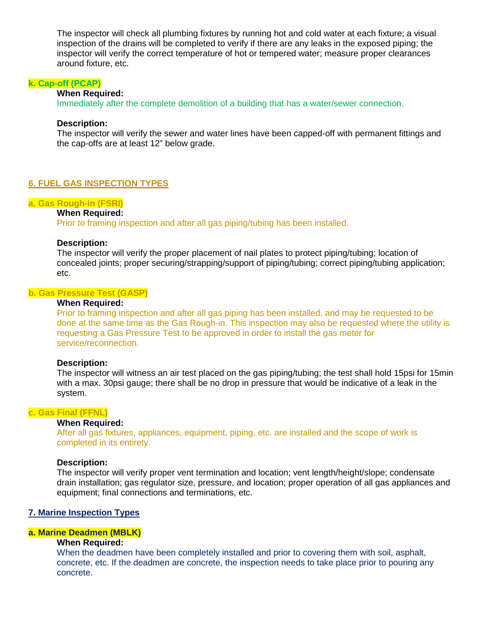The inspector will check all plumbing fixtures by running hot and cold water at each fixture; a visual inspection of the drains will be completed to verify if there are any leaks in the exposed piping; the inspector will verify the correct temperature of hot or tempered water; measure proper clearances around fixture, etc.

## **k. Cap-off (PCAP)**

#### **When Required:**

Immediately after the complete demolition of a building that has a water/sewer connection.

#### **Description:**

The inspector will verify the sewer and water lines have been capped-off with permanent fittings and the cap-offs are at least 12" below grade.

## **6. FUEL GAS INSPECTION TYPES**

## **a. Gas Rough-in (FSRI)**

## **When Required:**

Prior to framing inspection and after all gas piping/tubing has been installed.

## **Description:**

The inspector will verify the proper placement of nail plates to protect piping/tubing; location of concealed joints; proper securing/strapping/support of piping/tubing; correct piping/tubing application; etc.

## **b. Gas Pressure Test (GASP)**

## **When Required:**

Prior to framing inspection and after all gas piping has been installed, and may be requested to be done at the same time as the Gas Rough-in. This inspection may also be requested where the utility is requesting a Gas Pressure Test to be approved in order to install the gas meter for service/reconnection.

#### **Description:**

The inspector will witness an air test placed on the gas piping/tubing; the test shall hold 15psi for 15min with a max. 30psi gauge; there shall be no drop in pressure that would be indicative of a leak in the system.

#### **c. Gas Final (FFNL)**

## **When Required:**

After all gas fixtures, appliances, equipment, piping, etc. are installed and the scope of work is completed in its entirety.

#### **Description:**

The inspector will verify proper vent termination and location; vent length/height/slope; condensate drain installation; gas regulator size, pressure, and location; proper operation of all gas appliances and equipment; final connections and terminations, etc.

## **7. Marine Inspection Types**

#### **a. Marine Deadmen (MBLK)**

## **When Required:**

When the deadmen have been completely installed and prior to covering them with soil, asphalt, concrete, etc. If the deadmen are concrete, the inspection needs to take place prior to pouring any concrete.